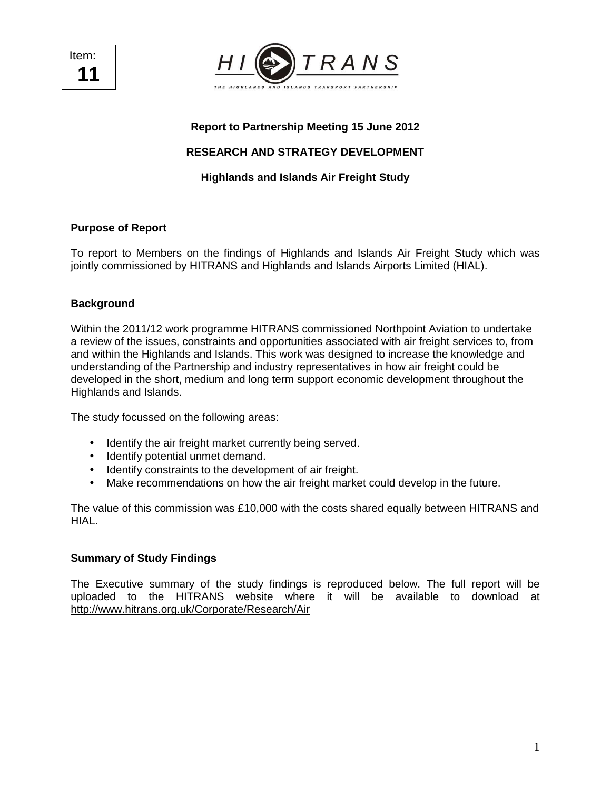Item: **11** 



# **Report to Partnership Meeting 15 June 2012**

# **RESEARCH AND STRATEGY DEVELOPMENT**

## **Highlands and Islands Air Freight Study**

## **Purpose of Report**

To report to Members on the findings of Highlands and Islands Air Freight Study which was jointly commissioned by HITRANS and Highlands and Islands Airports Limited (HIAL).

### **Background**

Within the 2011/12 work programme HITRANS commissioned Northpoint Aviation to undertake a review of the issues, constraints and opportunities associated with air freight services to, from and within the Highlands and Islands. This work was designed to increase the knowledge and understanding of the Partnership and industry representatives in how air freight could be developed in the short, medium and long term support economic development throughout the Highlands and Islands.

The study focussed on the following areas:

- Identify the air freight market currently being served.
- Identify potential unmet demand.
- Identify constraints to the development of air freight.
- Make recommendations on how the air freight market could develop in the future.

The value of this commission was £10,000 with the costs shared equally between HITRANS and HIAL.

### **Summary of Study Findings**

The Executive summary of the study findings is reproduced below. The full report will be uploaded to the HITRANS website where it will be available to download at http://www.hitrans.org.uk/Corporate/Research/Air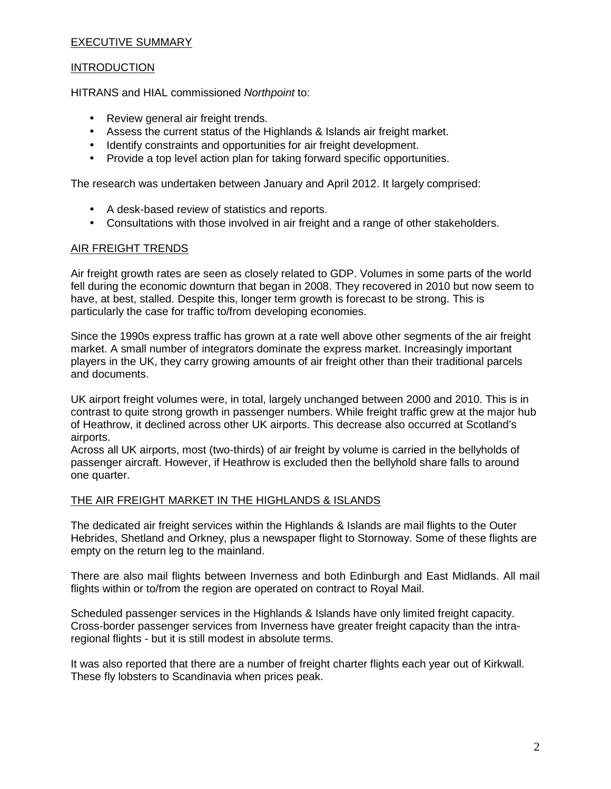### EXECUTIVE SUMMARY

### **INTRODUCTION**

HITRANS and HIAL commissioned Northpoint to:

- Review general air freight trends.
- Assess the current status of the Highlands & Islands air freight market.
- Identify constraints and opportunities for air freight development.
- Provide a top level action plan for taking forward specific opportunities.

The research was undertaken between January and April 2012. It largely comprised:

- A desk-based review of statistics and reports.
- Consultations with those involved in air freight and a range of other stakeholders.

#### AIR FREIGHT TRENDS

Air freight growth rates are seen as closely related to GDP. Volumes in some parts of the world fell during the economic downturn that began in 2008. They recovered in 2010 but now seem to have, at best, stalled. Despite this, longer term growth is forecast to be strong. This is particularly the case for traffic to/from developing economies.

Since the 1990s express traffic has grown at a rate well above other segments of the air freight market. A small number of integrators dominate the express market. Increasingly important players in the UK, they carry growing amounts of air freight other than their traditional parcels and documents.

UK airport freight volumes were, in total, largely unchanged between 2000 and 2010. This is in contrast to quite strong growth in passenger numbers. While freight traffic grew at the major hub of Heathrow, it declined across other UK airports. This decrease also occurred at Scotland's airports.

Across all UK airports, most (two-thirds) of air freight by volume is carried in the bellyholds of passenger aircraft. However, if Heathrow is excluded then the bellyhold share falls to around one quarter.

#### THE AIR FREIGHT MARKET IN THE HIGHLANDS & ISLANDS

The dedicated air freight services within the Highlands & Islands are mail flights to the Outer Hebrides, Shetland and Orkney, plus a newspaper flight to Stornoway. Some of these flights are empty on the return leg to the mainland.

There are also mail flights between Inverness and both Edinburgh and East Midlands. All mail flights within or to/from the region are operated on contract to Royal Mail.

Scheduled passenger services in the Highlands & Islands have only limited freight capacity. Cross-border passenger services from Inverness have greater freight capacity than the intraregional flights - but it is still modest in absolute terms.

It was also reported that there are a number of freight charter flights each year out of Kirkwall. These fly lobsters to Scandinavia when prices peak.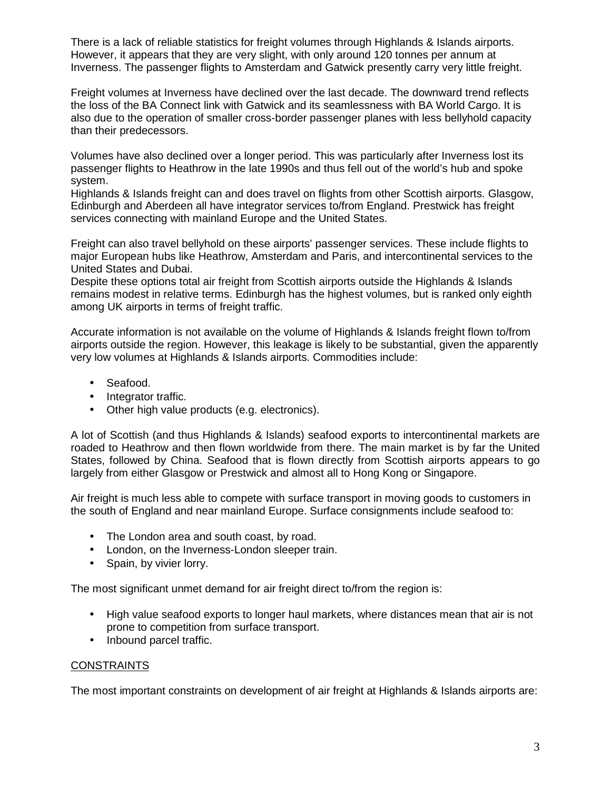There is a lack of reliable statistics for freight volumes through Highlands & Islands airports. However, it appears that they are very slight, with only around 120 tonnes per annum at Inverness. The passenger flights to Amsterdam and Gatwick presently carry very little freight.

Freight volumes at Inverness have declined over the last decade. The downward trend reflects the loss of the BA Connect link with Gatwick and its seamlessness with BA World Cargo. It is also due to the operation of smaller cross-border passenger planes with less bellyhold capacity than their predecessors.

Volumes have also declined over a longer period. This was particularly after Inverness lost its passenger flights to Heathrow in the late 1990s and thus fell out of the world's hub and spoke system.

Highlands & Islands freight can and does travel on flights from other Scottish airports. Glasgow, Edinburgh and Aberdeen all have integrator services to/from England. Prestwick has freight services connecting with mainland Europe and the United States.

Freight can also travel bellyhold on these airports' passenger services. These include flights to major European hubs like Heathrow, Amsterdam and Paris, and intercontinental services to the United States and Dubai.

Despite these options total air freight from Scottish airports outside the Highlands & Islands remains modest in relative terms. Edinburgh has the highest volumes, but is ranked only eighth among UK airports in terms of freight traffic.

Accurate information is not available on the volume of Highlands & Islands freight flown to/from airports outside the region. However, this leakage is likely to be substantial, given the apparently very low volumes at Highlands & Islands airports. Commodities include:

- Seafood.
- Integrator traffic.
- Other high value products (e.g. electronics).

A lot of Scottish (and thus Highlands & Islands) seafood exports to intercontinental markets are roaded to Heathrow and then flown worldwide from there. The main market is by far the United States, followed by China. Seafood that is flown directly from Scottish airports appears to go largely from either Glasgow or Prestwick and almost all to Hong Kong or Singapore.

Air freight is much less able to compete with surface transport in moving goods to customers in the south of England and near mainland Europe. Surface consignments include seafood to:

- The London area and south coast, by road.
- London, on the Inverness-London sleeper train.
- Spain, by vivier lorry.

The most significant unmet demand for air freight direct to/from the region is:

- High value seafood exports to longer haul markets, where distances mean that air is not prone to competition from surface transport.
- Inbound parcel traffic.

### **CONSTRAINTS**

The most important constraints on development of air freight at Highlands & Islands airports are: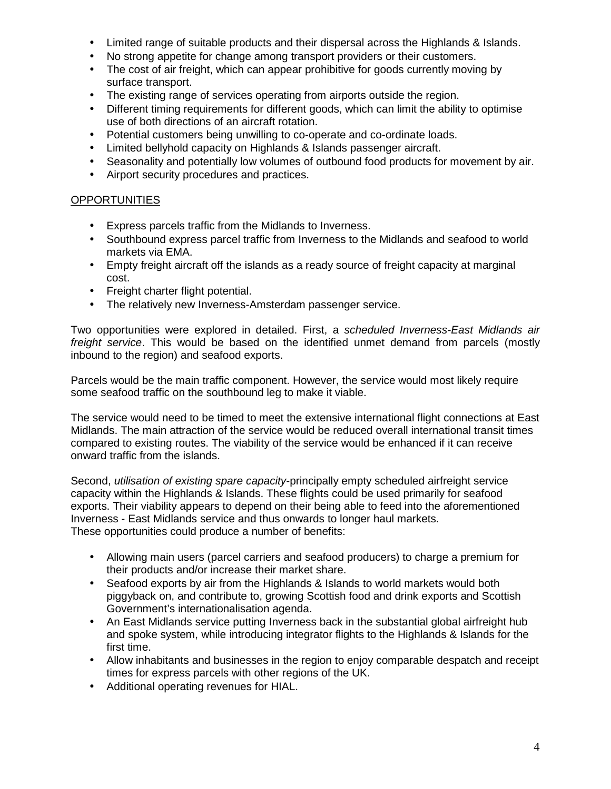- Limited range of suitable products and their dispersal across the Highlands & Islands.
- No strong appetite for change among transport providers or their customers.
- The cost of air freight, which can appear prohibitive for goods currently moving by surface transport.
- The existing range of services operating from airports outside the region.
- Different timing requirements for different goods, which can limit the ability to optimise use of both directions of an aircraft rotation.
- Potential customers being unwilling to co-operate and co-ordinate loads.
- Limited bellyhold capacity on Highlands & Islands passenger aircraft.
- Seasonality and potentially low volumes of outbound food products for movement by air.
- Airport security procedures and practices.

### **OPPORTUNITIES**

- Express parcels traffic from the Midlands to Inverness.
- Southbound express parcel traffic from Inverness to the Midlands and seafood to world markets via EMA.
- Empty freight aircraft off the islands as a ready source of freight capacity at marginal cost.
- Freight charter flight potential.
- The relatively new Inverness-Amsterdam passenger service.

Two opportunities were explored in detailed. First, a scheduled Inverness-East Midlands air freight service. This would be based on the identified unmet demand from parcels (mostly inbound to the region) and seafood exports.

Parcels would be the main traffic component. However, the service would most likely require some seafood traffic on the southbound leg to make it viable.

The service would need to be timed to meet the extensive international flight connections at East Midlands. The main attraction of the service would be reduced overall international transit times compared to existing routes. The viability of the service would be enhanced if it can receive onward traffic from the islands.

Second, *utilisation of existing spare capacity*-principally empty scheduled airfreight service capacity within the Highlands & Islands. These flights could be used primarily for seafood exports. Their viability appears to depend on their being able to feed into the aforementioned Inverness - East Midlands service and thus onwards to longer haul markets. These opportunities could produce a number of benefits:

- Allowing main users (parcel carriers and seafood producers) to charge a premium for their products and/or increase their market share.
- Seafood exports by air from the Highlands & Islands to world markets would both piggyback on, and contribute to, growing Scottish food and drink exports and Scottish Government's internationalisation agenda.
- An East Midlands service putting Inverness back in the substantial global airfreight hub and spoke system, while introducing integrator flights to the Highlands & Islands for the first time.
- Allow inhabitants and businesses in the region to enjoy comparable despatch and receipt times for express parcels with other regions of the UK.
- Additional operating revenues for HIAL.